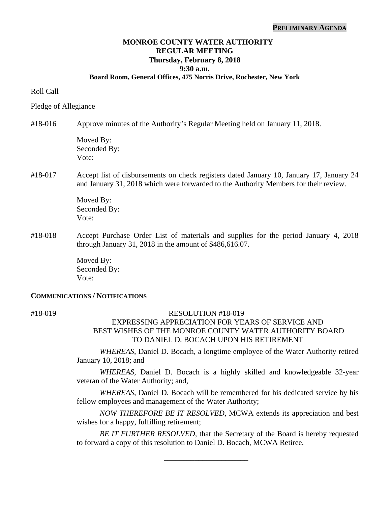#### **PRELIMINARY AGENDA**

# **MONROE COUNTY WATER AUTHORITY REGULAR MEETING Thursday, February 8, 2018 9:30 a.m.**

### **Board Room, General Offices, 475 Norris Drive, Rochester, New York**

### Roll Call

#### Pledge of Allegiance

### #18-016 Approve minutes of the Authority's Regular Meeting held on January 11, 2018.

Moved By: Seconded By: Vote:

### #18-017 Accept list of disbursements on check registers dated January 10, January 17, January 24 and January 31, 2018 which were forwarded to the Authority Members for their review.

 Moved By: Seconded By: Vote:

#18-018 Accept Purchase Order List of materials and supplies for the period January 4, 2018 through January 31, 2018 in the amount of \$486,616.07.

> Moved By: Seconded By: Vote:

#### **COMMUNICATIONS / NOTIFICATIONS**

### #18-019 RESOLUTION #18-019

# EXPRESSING APPRECIATION FOR YEARS OF SERVICE AND BEST WISHES OF THE MONROE COUNTY WATER AUTHORITY BOARD TO DANIEL D. BOCACH UPON HIS RETIREMENT

*WHEREAS*, Daniel D. Bocach, a longtime employee of the Water Authority retired January 10, 2018; and

*WHEREAS*, Daniel D. Bocach is a highly skilled and knowledgeable 32-year veteran of the Water Authority; and,

*WHEREAS*, Daniel D. Bocach will be remembered for his dedicated service by his fellow employees and management of the Water Authority;

*NOW THEREFORE BE IT RESOLVED,* MCWA extends its appreciation and best wishes for a happy, fulfilling retirement;

*BE IT FURTHER RESOLVED*, that the Secretary of the Board is hereby requested to forward a copy of this resolution to Daniel D. Bocach, MCWA Retiree.

\_\_\_\_\_\_\_\_\_\_\_\_\_\_\_\_\_\_\_\_\_\_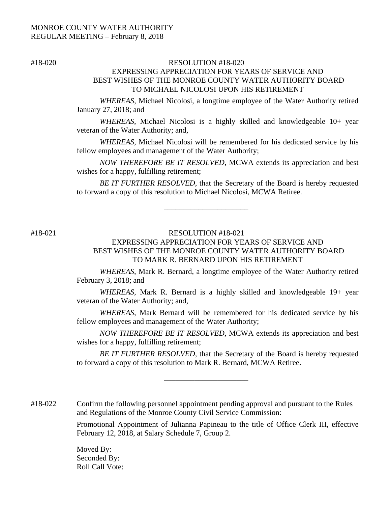# #18-020 RESOLUTION #18-020 EXPRESSING APPRECIATION FOR YEARS OF SERVICE AND BEST WISHES OF THE MONROE COUNTY WATER AUTHORITY BOARD TO MICHAEL NICOLOSI UPON HIS RETIREMENT

*WHEREAS*, Michael Nicolosi, a longtime employee of the Water Authority retired January 27, 2018; and

*WHEREAS*, Michael Nicolosi is a highly skilled and knowledgeable 10+ year veteran of the Water Authority; and,

*WHEREAS*, Michael Nicolosi will be remembered for his dedicated service by his fellow employees and management of the Water Authority;

*NOW THEREFORE BE IT RESOLVED,* MCWA extends its appreciation and best wishes for a happy, fulfilling retirement;

*BE IT FURTHER RESOLVED*, that the Secretary of the Board is hereby requested to forward a copy of this resolution to Michael Nicolosi, MCWA Retiree.

# #18-021 RESOLUTION #18-021

\_\_\_\_\_\_\_\_\_\_\_\_\_\_\_\_\_\_\_\_\_\_

# EXPRESSING APPRECIATION FOR YEARS OF SERVICE AND BEST WISHES OF THE MONROE COUNTY WATER AUTHORITY BOARD TO MARK R. BERNARD UPON HIS RETIREMENT

*WHEREAS*, Mark R. Bernard, a longtime employee of the Water Authority retired February 3, 2018; and

*WHEREAS*, Mark R. Bernard is a highly skilled and knowledgeable 19+ year veteran of the Water Authority; and,

*WHEREAS*, Mark Bernard will be remembered for his dedicated service by his fellow employees and management of the Water Authority;

*NOW THEREFORE BE IT RESOLVED,* MCWA extends its appreciation and best wishes for a happy, fulfilling retirement;

*BE IT FURTHER RESOLVED*, that the Secretary of the Board is hereby requested to forward a copy of this resolution to Mark R. Bernard, MCWA Retiree.

\_\_\_\_\_\_\_\_\_\_\_\_\_\_\_\_\_\_\_\_\_\_

#18-022 Confirm the following personnel appointment pending approval and pursuant to the Rules and Regulations of the Monroe County Civil Service Commission:

> Promotional Appointment of Julianna Papineau to the title of Office Clerk III, effective February 12, 2018, at Salary Schedule 7, Group 2.

Moved By: Seconded By: Roll Call Vote: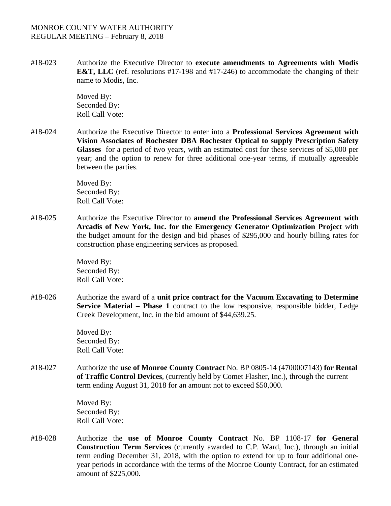#18-023 Authorize the Executive Director to **execute amendments to Agreements with Modis E&T, LLC** (ref. resolutions #17-198 and #17-246) to accommodate the changing of their name to Modis, Inc.

> Moved By: Seconded By: Roll Call Vote:

#18-024 Authorize the Executive Director to enter into a **Professional Services Agreement with Vision Associates of Rochester DBA Rochester Optical to supply Prescription Safety Glasses** for a period of two years, with an estimated cost for these services of \$5,000 per year; and the option to renew for three additional one-year terms, if mutually agreeable between the parties.

> Moved By: Seconded By: Roll Call Vote:

#18-025 Authorize the Executive Director to **amend the Professional Services Agreement with Arcadis of New York, Inc. for the Emergency Generator Optimization Project** with the budget amount for the design and bid phases of \$295,000 and hourly billing rates for construction phase engineering services as proposed.

> Moved By: Seconded By: Roll Call Vote:

#18-026 Authorize the award of a **unit price contract for the Vacuum Excavating to Determine Service Material – Phase 1** contract to the low responsive, responsible bidder, Ledge Creek Development, Inc. in the bid amount of \$44,639.25.

> Moved By: Seconded By: Roll Call Vote:

#18-027 Authorize the **use of Monroe County Contract** No. BP 0805-14 (4700007143) **for Rental of Traffic Control Devices**, (currently held by Comet Flasher, Inc.), through the current term ending August 31, 2018 for an amount not to exceed \$50,000.

> Moved By: Seconded By: Roll Call Vote:

#18-028 Authorize the **use of Monroe County Contract** No. BP 1108-17 **for General Construction Term Services** (currently awarded to C.P. Ward, Inc.), through an initial term ending December 31, 2018, with the option to extend for up to four additional oneyear periods in accordance with the terms of the Monroe County Contract, for an estimated amount of \$225,000.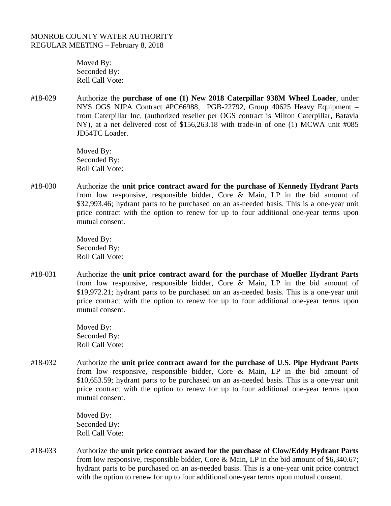Moved By: Seconded By: Roll Call Vote:

#18-029 Authorize the **purchase of one (1) New 2018 Caterpillar 938M Wheel Loader**, under NYS OGS NJPA Contract #PC66988, PGB-22792, Group 40625 Heavy Equipment – from Caterpillar Inc. (authorized reseller per OGS contract is Milton Caterpillar, Batavia NY), at a net delivered cost of \$156,263.18 with trade-in of one (1) MCWA unit #085 JD54TC Loader.

> Moved By: Seconded By: Roll Call Vote:

#18-030 Authorize the **unit price contract award for the purchase of Kennedy Hydrant Parts**  from low responsive, responsible bidder, Core & Main, LP in the bid amount of \$32,993.46; hydrant parts to be purchased on an as-needed basis. This is a one-year unit price contract with the option to renew for up to four additional one-year terms upon mutual consent.

> Moved By: Seconded By: Roll Call Vote:

#18-031 Authorize the **unit price contract award for the purchase of Mueller Hydrant Parts**  from low responsive, responsible bidder, Core & Main, LP in the bid amount of \$19,972.21; hydrant parts to be purchased on an as-needed basis. This is a one-year unit price contract with the option to renew for up to four additional one-year terms upon mutual consent.

> Moved By: Seconded By: Roll Call Vote:

#18-032 Authorize the **unit price contract award for the purchase of U.S. Pipe Hydrant Parts**  from low responsive, responsible bidder, Core & Main, LP in the bid amount of \$10,653.59; hydrant parts to be purchased on an as-needed basis. This is a one-year unit price contract with the option to renew for up to four additional one-year terms upon mutual consent.

> Moved By: Seconded By: Roll Call Vote:

#18-033 Authorize the **unit price contract award for the purchase of Clow/Eddy Hydrant Parts**  from low responsive, responsible bidder, Core & Main, LP in the bid amount of \$6,340.67; hydrant parts to be purchased on an as-needed basis. This is a one-year unit price contract with the option to renew for up to four additional one-year terms upon mutual consent.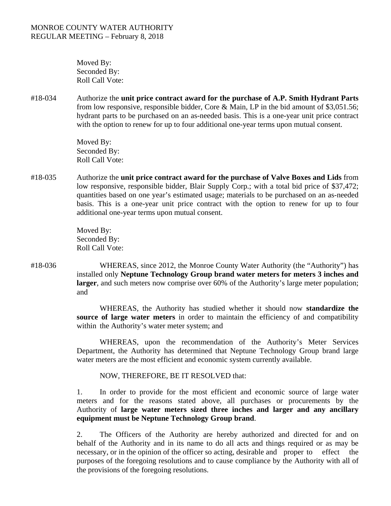Moved By: Seconded By: Roll Call Vote:

#18-034 Authorize the **unit price contract award for the purchase of A.P. Smith Hydrant Parts**  from low responsive, responsible bidder, Core & Main, LP in the bid amount of \$3,051.56; hydrant parts to be purchased on an as-needed basis. This is a one-year unit price contract with the option to renew for up to four additional one-year terms upon mutual consent.

> Moved By: Seconded By: Roll Call Vote:

#18-035 Authorize the **unit price contract award for the purchase of Valve Boxes and Lids** from low responsive, responsible bidder, Blair Supply Corp.; with a total bid price of \$37,472; quantities based on one year's estimated usage; materials to be purchased on an as-needed basis. This is a one-year unit price contract with the option to renew for up to four additional one-year terms upon mutual consent.

> Moved By: Seconded By: Roll Call Vote:

#18-036 WHEREAS, since 2012, the Monroe County Water Authority (the "Authority") has installed only **Neptune Technology Group brand water meters for meters 3 inches and larger**, and such meters now comprise over 60% of the Authority's large meter population; and

> WHEREAS, the Authority has studied whether it should now **standardize the source of large water meters** in order to maintain the efficiency of and compatibility within the Authority's water meter system; and

> WHEREAS, upon the recommendation of the Authority's Meter Services Department, the Authority has determined that Neptune Technology Group brand large water meters are the most efficient and economic system currently available.

NOW, THEREFORE, BE IT RESOLVED that:

1. In order to provide for the most efficient and economic source of large water meters and for the reasons stated above, all purchases or procurements by the Authority of **large water meters sized three inches and larger and any ancillary equipment must be Neptune Technology Group brand**.

2. The Officers of the Authority are hereby authorized and directed for and on behalf of the Authority and in its name to do all acts and things required or as may be necessary, or in the opinion of the officer so acting, desirable and proper to effect the purposes of the foregoing resolutions and to cause compliance by the Authority with all of the provisions of the foregoing resolutions.